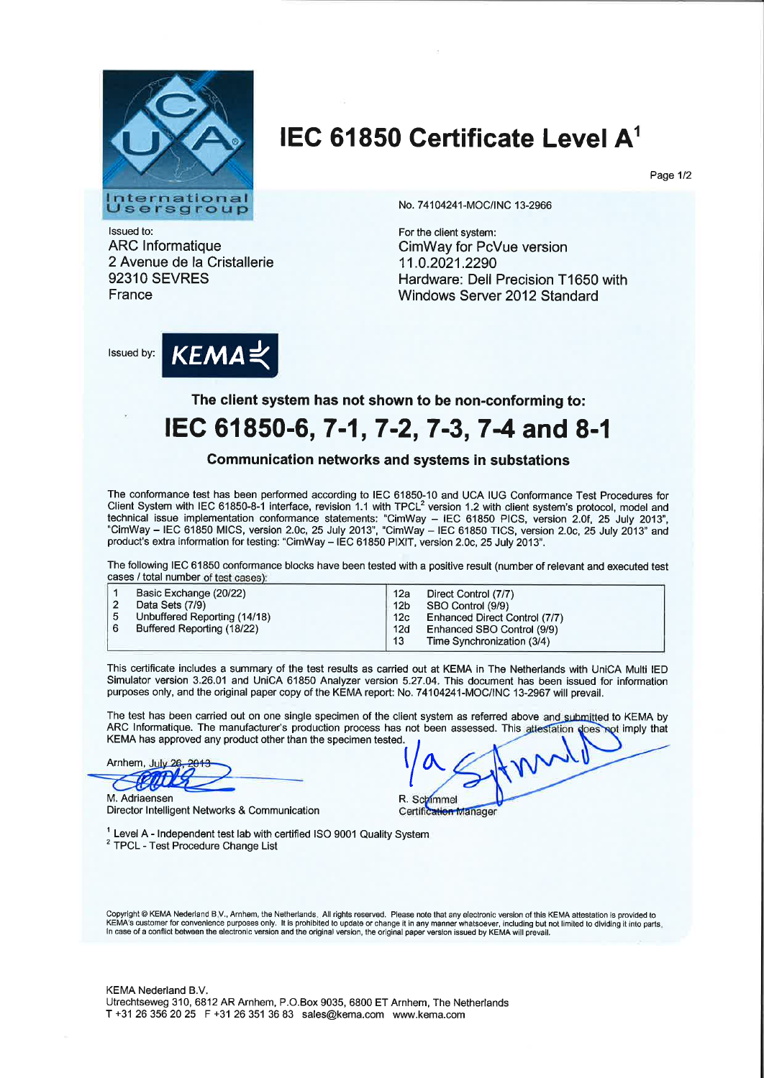

## IEC 61850 Certificate Level  $A<sup>1</sup>$

Page 1/2

lssued to: ARC lnformatique 2 Avenue de la Cristallerie 92310 SEVRES France

No. 74104241-MOC/INC 13-2966

For the client system: CimWay for PcVue version 11.0.2021.2290 Hardware: Dell Precision T1650 with Windows Server 2012 Standard

lssued by:



The client system has not shown to be non-conforming to:

## IEC 61850-6, 7-1, 7-2, 7-3, 7-4 and 8-1

## Communication networks and systems in substations

The conformance test has been performed according to IEC 61850-10 and UCA IUG Conformance Test Procedures for Client System with IEC 61850-8-1 interface, revision 1.1 with TPCL<sup>2</sup> version 1.2 with client system's protocol, model and technical issue implementation conformance statements: "CimWay - IEC 61850 PICS, version 2.0f, 25 July 2013"<br>"CimMay, JEC 61950 MICO waster 2.0s of the 9019" "CimMay - IEC 61850 FICS, version 2.0f, 25 July 2013" "CimWay - IEC 61850 MICS, version 2.0c, 25 July 2013", "CimWay - IEC 61850 TICS, version 2.0c, 25 July 2013" and product's extra information for testing: "CimWay - IEC 61850 PIXIT, version 2.0c, 25 July 2013".

The following IEC 61850 conformance blocks have been tested with a positive result (number of relevant and executed test cases / total number of test cases):

This certificate includes a summary of the test results as carried out at KEMA in The Netherlands with UniCA Multi IED Simulator version 3.26.01 and UniCA 61850 Analyzer version 5.27.04. This document has been issued for information purposes only, and the original paper copy of the KEMA report: No. 74104241-MOC/INC 13-2967 will prevail.

The test has been carried out on one single specimen of the client system as referred above and submitted to KEMA by ARC Informatique. The manufacturer's production process has not been assessed. This altestation does not imply that KEMA has approved any product other than the specimen tested.

Arnhem, July 26

M. Adriaensen Director lntelligent Networks & Communication

 $\sqrt{\frac{1}{2}}$ L<br>R. Sc<mark>M</mark> Certification Manager

 $1$  Level A - Independent test lab with certified ISO 9001 Quality System <sup>2</sup> TPCL - Test Procedure Change List

Copyright © KEMA Nederland B.V., Arnhem, the Netherlands. All rights reserved. Please note that any electronic version of this KEMA attestation is provided to<br>KEMA's customer for convenience purposes only. It is prohib In case of a conflict between the electronic version and the original version, the original paper version issued by KEMA will prevail.